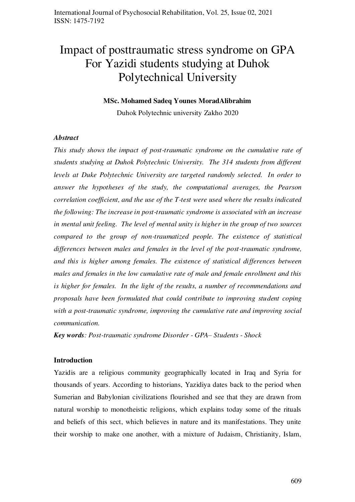# Impact of posttraumatic stress syndrome on GPA For Yazidi students studying at Duhok Polytechnical University

#### **MSc. Mohamed Sadeq Younes MoradAlibrahim**

Duhok Polytechnic university Zakho 2020

#### *Abstract*

*This study shows the impact of post-traumatic syndrome on the cumulative rate of students studying at Duhok Polytechnic University. The 314 students from different levels at Duke Polytechnic University are targeted randomly selected. In order to answer the hypotheses of the study, the computational averages, the Pearson correlation coefficient, and the use of the T-test were used where the results indicated the following: The increase in post-traumatic syndrome is associated with an increase in mental unit feeling. The level of mental unity is higher in the group of two sources compared to the group of non-traumatized people. The existence of statistical differences between males and females in the level of the post-traumatic syndrome, and this is higher among females. The existence of statistical differences between males and females in the low cumulative rate of male and female enrollment and this is higher for females. In the light of the results, a number of recommendations and proposals have been formulated that could contribute to improving student coping with a post-traumatic syndrome, improving the cumulative rate and improving social communication.* 

*Key words: Post-traumatic syndrome Disorder - GPA– Students - Shock* 

#### **Introduction**

Yazidis are a religious community geographically located in Iraq and Syria for thousands of years. According to historians, Yazidiya dates back to the period when Sumerian and Babylonian civilizations flourished and see that they are drawn from natural worship to monotheistic religions, which explains today some of the rituals and beliefs of this sect, which believes in nature and its manifestations. They unite their worship to make one another, with a mixture of Judaism, Christianity, Islam,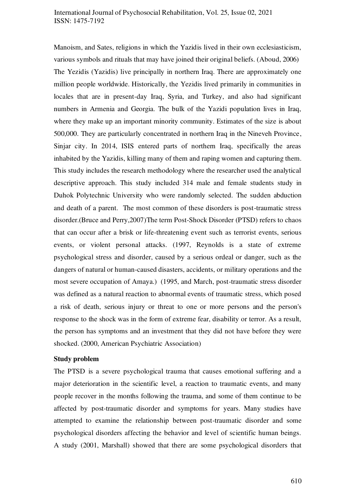#### International Journal of Psychosocial Rehabilitation, Vol. 25, Issue 02, 2021 ISSN: 1475-7192

Manoism, and Sates, religions in which the Yazidis lived in their own ecclesiasticism, various symbols and rituals that may have joined their original beliefs. (Aboud, 2006) The Yezidis (Yazidis) live principally in northern Iraq. There are approximately one million people worldwide. Historically, the Yezidis lived primarily in communities in locales that are in present-day Iraq, Syria, and Turkey, and also had significant numbers in Armenia and Georgia. The bulk of the Yazidi population lives in Iraq, where they make up an important minority community. Estimates of the size is about 500,000. They are particularly concentrated in northern Iraq in the Nineveh Province, Sinjar city. In 2014, ISIS entered parts of northern Iraq, specifically the areas inhabited by the Yazidis, killing many of them and raping women and capturing them. This study includes the research methodology where the researcher used the analytical descriptive approach. This study included 314 male and female students study in Duhok Polytechnic University who were randomly selected. The sudden abduction and death of a parent. The most common of these disorders is post-traumatic stress disorder.(Bruce and Perry,2007)The term Post-Shock Disorder (PTSD) refers to chaos that can occur after a brisk or life-threatening event such as terrorist events, serious events, or violent personal attacks. (1997, Reynolds is a state of extreme psychological stress and disorder, caused by a serious ordeal or danger, such as the dangers of natural or human-caused disasters, accidents, or military operations and the most severe occupation of Amaya.) (1995, and March, post-traumatic stress disorder was defined as a natural reaction to abnormal events of traumatic stress, which posed a risk of death, serious injury or threat to one or more persons and the person's response to the shock was in the form of extreme fear, disability or terror. As a result, the person has symptoms and an investment that they did not have before they were shocked. (2000, American Psychiatric Association)

#### **Study problem**

The PTSD is a severe psychological trauma that causes emotional suffering and a major deterioration in the scientific level, a reaction to traumatic events, and many people recover in the months following the trauma, and some of them continue to be affected by post-traumatic disorder and symptoms for years. Many studies have attempted to examine the relationship between post-traumatic disorder and some psychological disorders affecting the behavior and level of scientific human beings. A study (2001, Marshall) showed that there are some psychological disorders that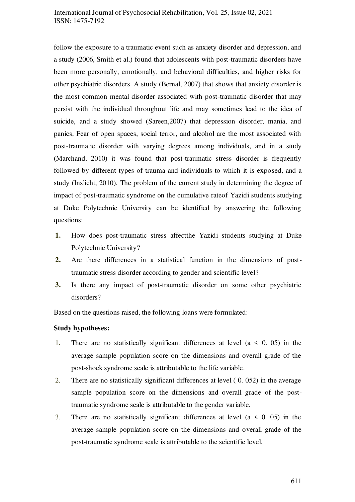## International Journal of Psychosocial Rehabilitation, Vol. 25, Issue 02, 2021 ISSN: 1475-7192

follow the exposure to a traumatic event such as anxiety disorder and depression, and a study (2006, Smith et al.) found that adolescents with post-traumatic disorders have been more personally, emotionally, and behavioral difficulties, and higher risks for other psychiatric disorders. A study (Bernal, 2007) that shows that anxiety disorder is the most common mental disorder associated with post-traumatic disorder that may persist with the individual throughout life and may sometimes lead to the idea of suicide, and a study showed (Sareen,2007) that depression disorder, mania, and panics, Fear of open spaces, social terror, and alcohol are the most associated with post-traumatic disorder with varying degrees among individuals, and in a study (Marchand, 2010) it was found that post-traumatic stress disorder is frequently followed by different types of trauma and individuals to which it is exposed, and a study (Inslicht, 2010). The problem of the current study in determining the degree of impact of post-traumatic syndrome on the cumulative rateof Yazidi students studying at Duke Polytechnic University can be identified by answering the following questions:

- **1.** How does post-traumatic stress affectthe Yazidi students studying at Duke Polytechnic University?
- **2.** Are there differences in a statistical function in the dimensions of posttraumatic stress disorder according to gender and scientific level?
- **3.** Is there any impact of post-traumatic disorder on some other psychiatric disorders?

Based on the questions raised, the following loans were formulated:

#### **Study hypotheses:**

- 1. There are no statistically significant differences at level  $(a \leq 0.05)$  in the average sample population score on the dimensions and overall grade of the post-shock syndrome scale is attributable to the life variable.
- 2. There are no statistically significant differences at level ( 0. 052) in the average sample population score on the dimensions and overall grade of the posttraumatic syndrome scale is attributable to the gender variable.
- 3. There are no statistically significant differences at level  $(a \le 0, 05)$  in the average sample population score on the dimensions and overall grade of the post-traumatic syndrome scale is attributable to the scientific level.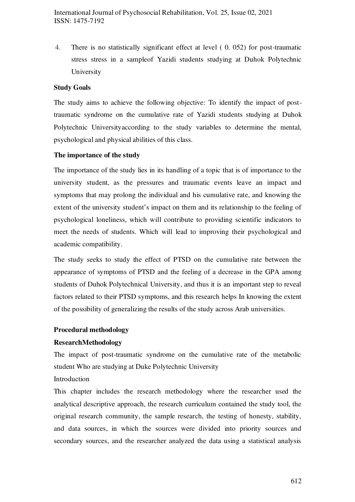4. There is no statistically significant effect at level ( 0. 052) for post-traumatic stress stress in a sampleof Yazidi students studying at Duhok Polytechnic University

## **Study Goals**

The study aims to achieve the following objective: To identify the impact of posttraumatic syndrome on the cumulative rate of Yazidi students studying at Duhok Polytechnic Universityaccording to the study variables to determine the mental, psychological and physical abilities of this class.

#### **The importance of the study**

The importance of the study lies in its handling of a topic that is of importance to the university student, as the pressures and traumatic events leave an impact and symptoms that may prolong the individual and his cumulative rate, and knowing the extent of the university student's impact on them and its relationship to the feeling of psychological loneliness, which will contribute to providing scientific indicators to meet the needs of students. Which will lead to improving their psychological and academic compatibility.

The study seeks to study the effect of PTSD on the cumulative rate between the appearance of symptoms of PTSD and the feeling of a decrease in the GPA among students of Duhok Polytechnical University, and thus it is an important step to reveal factors related to their PTSD symptoms, and this research helps In knowing the extent of the possibility of generalizing the results of the study across Arab universities.

#### **Procedural methodology**

## **ResearchMethodology**

The impact of post-traumatic syndrome on the cumulative rate of the metabolic student Who are studying at Duke Polytechnic University Introduction

This chapter includes the research methodology where the researcher used the analytical descriptive approach, the research curriculum contained the study tool, the original research community, the sample research, the testing of honesty, stability, and data sources, in which the sources were divided into priority sources and secondary sources, and the researcher analyzed the data using a statistical analysis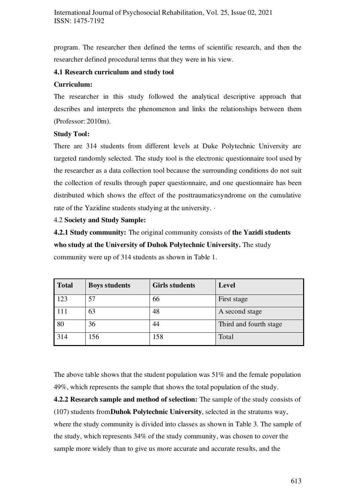program. The researcher then defined the terms of scientific research, and then the researcher defined procedural terms that they were in his view.

## **4.1 Research curriculum and study tool**

## **Curriculum:**

The researcher in this study followed the analytical descriptive approach that describes and interprets the phenomenon and links the relationships between them (Professor: 2010m).

## **Study Tool:**

There are 314 students from different levels at Duke Polytechnic University are targeted randomly selected. The study tool is the electronic questionnaire tool used by the researcher as a data collection tool because the surrounding conditions do not suit the collection of results through paper questionnaire, and one questionnaire has been distributed which shows the effect of the posttraumaticsyndrome on the cumulative rate of the Yazidine students studying at the university. ·

## 4.2 **Society and Study Sample:**

**4.2.1 Study community:** The original community consists of **the Yazidi students who study at the University of Duhok Polytechnic University.** The study community were up of 314 students as shown in Table 1.

| <b>Total</b> | <b>Boys students</b> | <b>Girls students</b> | Level                  |
|--------------|----------------------|-----------------------|------------------------|
| 123          | 57                   | 66                    | First stage            |
|              | 63                   | 48                    | A second stage         |
| 80           | 36                   | 44                    | Third and fourth stage |
| 314          | 156                  | 158                   | Total                  |

The above table shows that the student population was 51% and the female population 49%, which represents the sample that shows the total population of the study.

**4.2.2 Research sample and method of selection:** The sample of the study consists of (107) students from**Duhok Polytechnic University**, selected in the stratums way, where the study community is divided into classes as shown in Table 3. The sample of the study, which represents 34% of the study community, was chosen to cover the sample more widely than to give us more accurate and accurate results, and the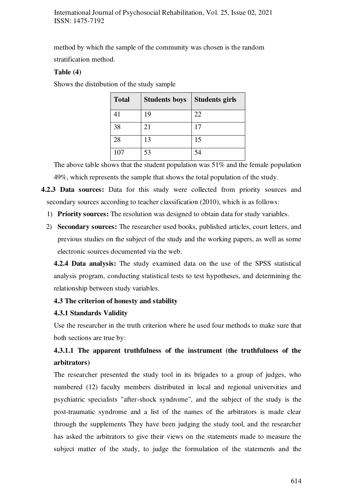method by which the sample of the community was chosen is the random stratification method.

#### **Table (4)**

Shows the distribution of the study sample

| <b>Total</b> | <b>Students boys</b> | <b>Students girls</b> |
|--------------|----------------------|-----------------------|
| 41           | 19                   | 22                    |
| 38           | 21                   | 17                    |
| 28           | 13                   | 15                    |
| 107          | 53                   | 54                    |

The above table shows that the student population was 51% and the female population 49%, which represents the sample that shows the total population of the study.

- **4.2.3 Data sources:** Data for this study were collected from priority sources and secondary sources according to teacher classification (2010), which is as follows:
	- 1) **Priority sources:** The resolution was designed to obtain data for study variables.
	- 2) **Secondary sources:** The researcher used books, published articles, court letters, and previous studies on the subject of the study and the working papers, as well as some electronic sources documented via the web.

**4.2.4 Data analysis:** The study examined data on the use of the SPSS statistical analysis program, conducting statistical tests to test hypotheses, and determining the relationship between study variables.

## **4.3 The criterion of honesty and stability**

#### **4.3.1 Standards Validity**

Use the researcher in the truth criterion where he used four methods to make sure that both sections are true by:

## **4.3.1.1 The apparent truthfulness of the instrument (the truthfulness of the arbitrators)**

The researcher presented the study tool in its brigades to a group of judges, who numbered (12) faculty members distributed in local and regional universities and psychiatric specialists "after-shock syndrome", and the subject of the study is the post-traumatic syndrome and a list of the names of the arbitrators is made clear through the supplements They have been judging the study tool, and the researcher has asked the arbitrators to give their views on the statements made to measure the subject matter of the study, to judge the formulation of the statements and the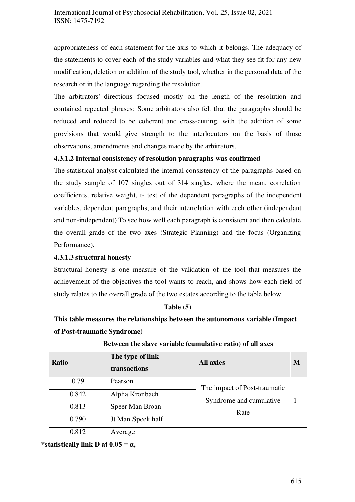appropriateness of each statement for the axis to which it belongs. The adequacy of the statements to cover each of the study variables and what they see fit for any new modification, deletion or addition of the study tool, whether in the personal data of the research or in the language regarding the resolution.

The arbitrators' directions focused mostly on the length of the resolution and contained repeated phrases; Some arbitrators also felt that the paragraphs should be reduced and reduced to be coherent and cross-cutting, with the addition of some provisions that would give strength to the interlocutors on the basis of those observations, amendments and changes made by the arbitrators.

## **4.3.1.2 Internal consistency of resolution paragraphs was confirmed**

The statistical analyst calculated the internal consistency of the paragraphs based on the study sample of 107 singles out of 314 singles, where the mean, correlation coefficients, relative weight, t- test of the dependent paragraphs of the independent variables, dependent paragraphs, and their interrelation with each other (independant and non-independent) To see how well each paragraph is consistent and then calculate the overall grade of the two axes (Strategic Planning) and the focus (Organizing Performance).

## **4.3.1.3 structural honesty**

Structural honesty is one measure of the validation of the tool that measures the achievement of the objectives the tool wants to reach, and shows how each field of study relates to the overall grade of the two estates according to the table below.

#### **Table (5)**

## **This table measures the relationships between the autonomous variable (Impact of Post-traumatic Syndrome)**

| <b>Ratio</b> | The type of link<br>transactions | <b>All axles</b>             | M |
|--------------|----------------------------------|------------------------------|---|
| 0.79         | Pearson                          | The impact of Post-traumatic |   |
| 0.842        | Alpha Kronbach                   | Syndrome and cumulative      |   |
| 0.813        | Speer Man Broan                  | Rate                         |   |
| 0.790        | Jt Man Speelt half               |                              |   |
| 0.812        | Average                          |                              |   |

**Between the slave variable (cumulative ratio) of all axes** 

\*statistically link D at  $0.05 = \alpha$ ,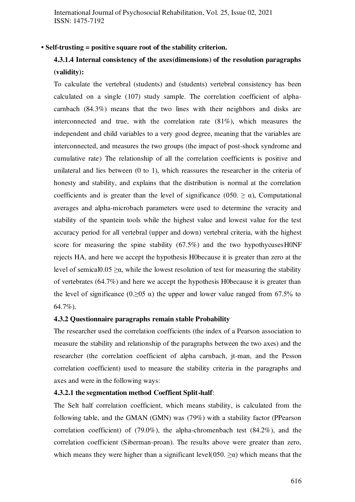#### **• Self-trusting = positive square root of the stability criterion.**

## **4.3.1.4 Internal consistency of the axes(dimensions) of the resolution paragraphs (validity):**

To calculate the vertebral (students) and (students) vertebral consistency has been calculated on a single (107) study sample. The correlation coefficient of alphacarnbach (84.3%) means that the two lines with their neighbors and disks are interconnected and true, with the correlation rate (81%), which measures the independent and child variables to a very good degree, meaning that the variables are interconnected, and measures the two groups (the impact of post-shock syndrome and cumulative rate) The relationship of all the correlation coefficients is positive and unilateral and lies between (0 to 1), which reassures the researcher in the criteria of honesty and stability, and explains that the distribution is normal at the correlation coefficients and is greater than the level of significance (050.  $\geq \alpha$ ), Computational averages and alpha-microbach parameters were used to determine the veracity and stability of the spantein tools while the highest value and lowest value for the test accuracy period for all vertebral (upper and down) vertebral criteria, with the highest score for measuring the spine stability  $(67.5\%)$  and the two hypothycuses HONF rejects HA, and here we accept the hypothesis H0because it is greater than zero at the level of semical  $0.05 \ge \alpha$ , while the lowest resolution of test for measuring the stability of vertebrates (64.7%) and here we accept the hypothesis H0because it is greater than the level of significance (0. $\geq$ 05  $\alpha$ ) the upper and lower value ranged from 67.5% to 64.7%).

#### **4.3.2 Questionnaire paragraphs remain stable Probability**

The researcher used the correlation coefficients (the index of a Pearson association to measure the stability and relationship of the paragraphs between the two axes) and the researcher (the correlation coefficient of alpha carnbach, jt-man, and the Pesson correlation coefficient) used to measure the stability criteria in the paragraphs and axes and were in the following ways:

#### **4.3.2.1 the segmentation method Coeffient Split-half**:

The Selt half correlation coefficient, which means stability, is calculated from the following table, and the GMAN (GMN) was (79%) with a stability factor (PPearson correlation coefficient) of (79.0%), the alpha-chromenbach test (84.2%), and the correlation coefficient (Siberman-proan). The results above were greater than zero, which means they were higher than a significant level(050.  $\geq \alpha$ ) which means that the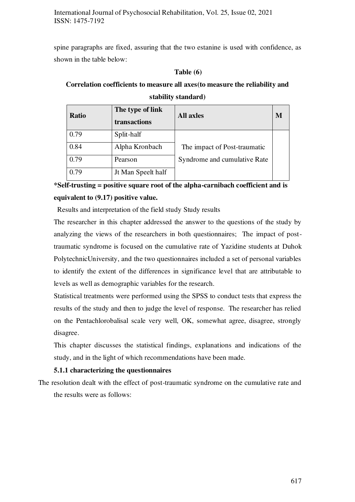spine paragraphs are fixed, assuring that the two estanine is used with confidence, as shown in the table below:

#### **Table (6)**

## **Correlation coefficients to measure all axes(to measure the reliability and stability standard)**

| <b>Ratio</b> | The type of link<br>transactions | <b>All axles</b>             | М |
|--------------|----------------------------------|------------------------------|---|
| 0.79         | Split-half                       |                              |   |
| 0.84         | Alpha Kronbach                   | The impact of Post-traumatic |   |
| 0.79         | Pearson                          | Syndrome and cumulative Rate |   |
| 0.79         | Jt Man Speelt half               |                              |   |

**\*Self-trusting = positive square root of the alpha-carnibach coefficient and is equivalent to (9.17) positive value.** 

Results and interpretation of the field study Study results

The researcher in this chapter addressed the answer to the questions of the study by analyzing the views of the researchers in both questionnaires; The impact of posttraumatic syndrome is focused on the cumulative rate of Yazidine students at Duhok PolytechnicUniversity, and the two questionnaires included a set of personal variables to identify the extent of the differences in significance level that are attributable to levels as well as demographic variables for the research.

Statistical treatments were performed using the SPSS to conduct tests that express the results of the study and then to judge the level of response. The researcher has relied on the Pentachlorobalisal scale very well, OK, somewhat agree, disagree, strongly disagree.

This chapter discusses the statistical findings, explanations and indications of the study, and in the light of which recommendations have been made.

## **5.1.1 characterizing the questionnaires**

The resolution dealt with the effect of post-traumatic syndrome on the cumulative rate and the results were as follows: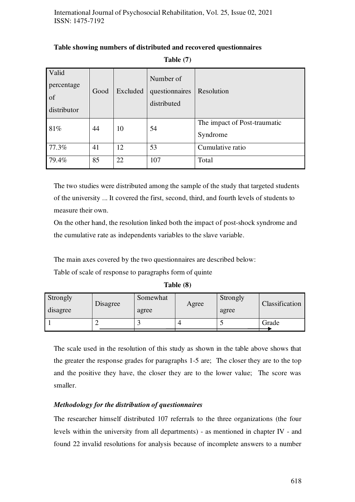| Valid<br>percentage<br>of<br>distributor | Good | Excluded | Number of<br>questionnaires<br>distributed | Resolution                               |
|------------------------------------------|------|----------|--------------------------------------------|------------------------------------------|
| 81%                                      | 44   | 10       | 54                                         | The impact of Post-traumatic<br>Syndrome |
| 77.3%                                    | 41   | 12       | 53                                         | Cumulative ratio                         |
| 79.4%                                    | 85   | 22       | 107                                        | Total                                    |

## **Table showing numbers of distributed and recovered questionnaires**

**Table (7)** 

The two studies were distributed among the sample of the study that targeted students of the university ... It covered the first, second, third, and fourth levels of students to measure their own.

On the other hand, the resolution linked both the impact of post-shock syndrome and the cumulative rate as independents variables to the slave variable.

The main axes covered by the two questionnaires are described below:

Table of scale of response to paragraphs form of quinte

| Table (8) |  |
|-----------|--|
|-----------|--|

| Strongly<br>disagree | Disagree | Somewhat<br>agree | Agree | Strongly<br>agree | Classification |
|----------------------|----------|-------------------|-------|-------------------|----------------|
|                      |          |                   |       |                   | Grade          |

The scale used in the resolution of this study as shown in the table above shows that the greater the response grades for paragraphs 1-5 are; The closer they are to the top and the positive they have, the closer they are to the lower value; The score was smaller.

## *Methodology for the distribution of questionnaires*

The researcher himself distributed 107 referrals to the three organizations (the four levels within the university from all departments) - as mentioned in chapter IV - and found 22 invalid resolutions for analysis because of incomplete answers to a number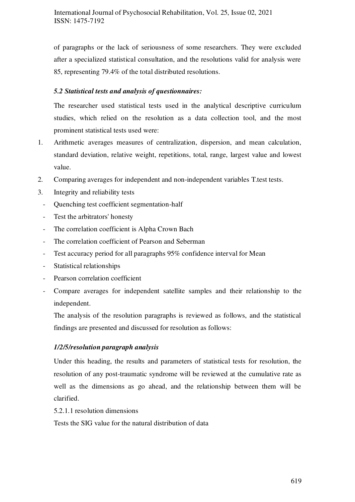of paragraphs or the lack of seriousness of some researchers. They were excluded after a specialized statistical consultation, and the resolutions valid for analysis were 85, representing 79.4% of the total distributed resolutions.

## *5.2 Statistical tests and analysis of questionnaires:*

The researcher used statistical tests used in the analytical descriptive curriculum studies, which relied on the resolution as a data collection tool, and the most prominent statistical tests used were:

- 1. Arithmetic averages measures of centralization, dispersion, and mean calculation, standard deviation, relative weight, repetitions, total, range, largest value and lowest value.
- 2. Comparing averages for independent and non-independent variables T.test tests.
- 3. Integrity and reliability tests
	- Quenching test coefficient segmentation-half
	- Test the arbitrators' honesty
	- The correlation coefficient is Alpha Crown Bach
	- The correlation coefficient of Pearson and Seberman
	- Test accuracy period for all paragraphs 95% confidence interval for Mean
	- Statistical relationships
	- Pearson correlation coefficient
	- Compare averages for independent satellite samples and their relationship to the independent.

The analysis of the resolution paragraphs is reviewed as follows, and the statistical findings are presented and discussed for resolution as follows:

## *1/2/5/resolution paragraph analysis*

Under this heading, the results and parameters of statistical tests for resolution, the resolution of any post-traumatic syndrome will be reviewed at the cumulative rate as well as the dimensions as go ahead, and the relationship between them will be clarified.

5.2.1.1 resolution dimensions

Tests the SIG value for the natural distribution of data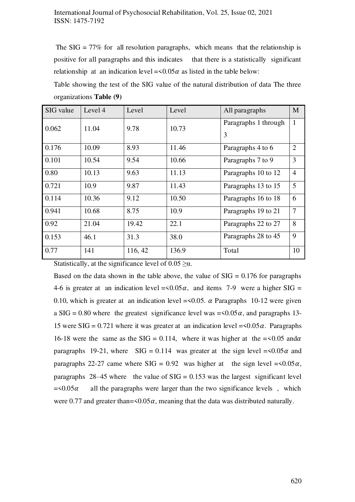The  $SIG = 77\%$  for all resolution paragraphs, which means that the relationship is positive for all paragraphs and this indicates that there is a statistically significant relationship at an indication level =  $\langle 0.05 \alpha \rangle$  as listed in the table below:

Table showing the test of the SIG value of the natural distribution of data The three organizations **Table (9)** 

| SIG value | Level 4 | Level   | Level | All paragraphs            | M              |
|-----------|---------|---------|-------|---------------------------|----------------|
| 0.062     | 11.04   | 9.78    | 10.73 | Paragraphs 1 through<br>3 | $\mathbf{1}$   |
| 0.176     | 10.09   | 8.93    | 11.46 | Paragraphs 4 to 6         | $\overline{2}$ |
| 0.101     | 10.54   | 9.54    | 10.66 | Paragraphs 7 to 9         | 3              |
| 0.80      | 10.13   | 9.63    | 11.13 | Paragraphs 10 to 12       | $\overline{4}$ |
| 0.721     | 10.9    | 9.87    | 11.43 | Paragraphs 13 to 15       | 5              |
| 0.114     | 10.36   | 9.12    | 10.50 | Paragraphs 16 to 18       | 6              |
| 0.941     | 10.68   | 8.75    | 10.9  | Paragraphs 19 to 21       | $\tau$         |
| 0.92      | 21.04   | 19.42   | 22.1  | Paragraphs 22 to 27       | 8              |
| 0.153     | 46.1    | 31.3    | 38.0  | Paragraphs 28 to 45       | 9              |
| 0.77      | 141     | 116, 42 | 136.9 | Total                     | 10             |

Statistically, at the significance level of  $0.05 \ge \alpha$ .

Based on the data shown in the table above, the value of  $SIG = 0.176$  for paragraphs 4-6 is greater at an indication level =  $\langle 0.05 \alpha, \text{ and items } 7$ -9 were a higher SIG = 0.10, which is greater at an indication level  $=\langle 0.05, \alpha \rangle$  Paragraphs 10-12 were given a SIG = 0.80 where the greatest significance level was =  $\langle 0.05 \alpha, \text{ and paragraphs } 13$ -15 were SIG = 0.721 where it was greater at an indication level =  $0.05\alpha$ . Paragraphs 16-18 were the same as the SIG = 0.114, where it was higher at the =  $0.05$  and  $\alpha$ paragraphs 19-21, where SIG = 0.114 was greater at the sign level =  $\leq 0.05 \alpha$  and paragraphs 22-27 came where SIG =  $0.92$  was higher at the sign level =  $0.05\alpha$ , paragraphs 28–45 where the value of  $SIG = 0.153$  was the largest significant level  $=$  <0.05 $\alpha$  all the paragraphs were larger than the two significance levels, which were 0.77 and greater than= $\leq 0.05\alpha$ , meaning that the data was distributed naturally.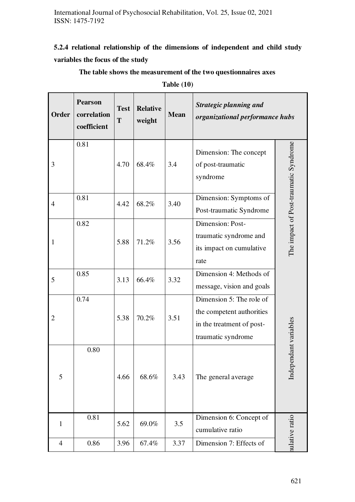## **5.2.4 relational relationship of the dimensions of independent and child study variables the focus of the study**

**Pearson**  *Strategic planning and*  **Test Relative Order correlation Mean** *organizational performance hubs*  **T weight coefficient**  0.81 Independant variables The impact of Post-traumatic Syndrome The impact of Post-traumatic Syndrome Dimension: The concept 4.70 68.4% 3.4 3 of post-traumatic syndrome 0.81 Dimension: Symptoms of 4 4.42 68.2% 3.40 Post-traumatic Syndrome 0.82 Dimension: Posttraumatic syndrome and 1 5.88 71.2% 3.56 its impact on cumulative rate 0.85 Dimension 4: Methods of 5  $3.13 \mid 66.4\% \mid 3.32$ message, vision and goals 0.74 Dimension 5: The role of the competent authorities  $5.38 \mid 70.2\% \mid 3.51$ 2 Independant variables in the treatment of posttraumatic syndrome 0.80 5 4.66 68.6% 3.43 The general average nulative ratio 0.81 Dimension 6: Concept of ulative ratio  $5.62 \mid 69.0\% \mid 3.5$ 1 cumulative ratio 4 0.86 3.96 67.4% 3.37 Dimension 7: Effects of

**The table shows the measurement of the two questionnaires axes** 

**Table (10)**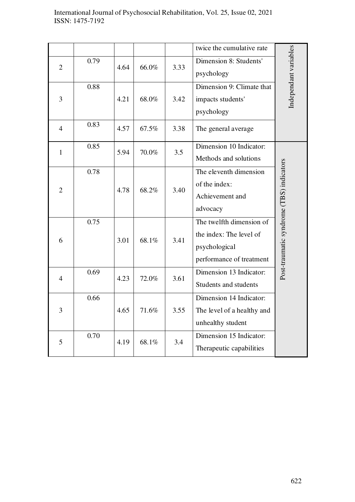### International Journal of Psychosocial Rehabilitation, Vol. 25, Issue 02, 2021 ISSN: 1475-7192

|                |      |      |       |      | twice the cumulative rate  |                                          |  |
|----------------|------|------|-------|------|----------------------------|------------------------------------------|--|
| $\overline{2}$ | 0.79 | 4.64 | 66.0% | 3.33 | Dimension 8: Students'     | Independant variables                    |  |
|                |      |      |       |      | psychology                 |                                          |  |
|                | 0.88 |      |       |      | Dimension 9: Climate that  |                                          |  |
| 3              |      | 4.21 | 68.0% | 3.42 | impacts students'          |                                          |  |
|                |      |      |       |      | psychology                 |                                          |  |
| $\overline{4}$ | 0.83 | 4.57 | 67.5% | 3.38 | The general average        |                                          |  |
| $\mathbf{1}$   | 0.85 | 5.94 | 70.0% | 3.5  | Dimension 10 Indicator:    |                                          |  |
|                |      |      |       |      | Methods and solutions      |                                          |  |
|                | 0.78 |      |       |      | The eleventh dimension     |                                          |  |
|                |      |      |       |      | of the index:              |                                          |  |
| $\overline{2}$ |      | 4.78 | 68.2% | 3.40 | Achievement and            |                                          |  |
|                |      |      |       |      | advocacy                   |                                          |  |
|                | 0.75 |      |       |      | The twelfth dimension of   | Post-traumatic syndrome (TBS) indicators |  |
|                |      |      |       |      |                            |                                          |  |
| 6              |      | 3.01 | 68.1% | 3.41 | the index: The level of    |                                          |  |
|                |      |      |       |      | psychological              |                                          |  |
|                |      |      |       |      | performance of treatment   |                                          |  |
| $\overline{4}$ | 0.69 | 4.23 | 72.0% | 3.61 | Dimension 13 Indicator:    |                                          |  |
|                |      |      |       |      | Students and students      |                                          |  |
|                | 0.66 |      |       |      | Dimension 14 Indicator:    |                                          |  |
| 3              |      | 4.65 | 71.6% | 3.55 | The level of a healthy and |                                          |  |
|                |      |      |       |      | unhealthy student          |                                          |  |
|                | 0.70 |      |       |      | Dimension 15 Indicator:    |                                          |  |
| 5              |      | 4.19 | 68.1% | 3.4  | Therapeutic capabilities   |                                          |  |
|                |      |      |       |      |                            |                                          |  |
|                |      |      |       |      |                            |                                          |  |
|                |      |      |       |      |                            |                                          |  |
|                |      |      |       |      |                            |                                          |  |
|                |      |      |       |      |                            |                                          |  |
|                |      |      |       |      |                            |                                          |  |
|                |      |      |       |      |                            |                                          |  |
|                |      |      |       |      |                            |                                          |  |
|                |      |      |       |      |                            |                                          |  |
|                |      |      |       |      |                            |                                          |  |
|                |      |      |       |      |                            |                                          |  |
|                |      |      |       |      |                            | 622                                      |  |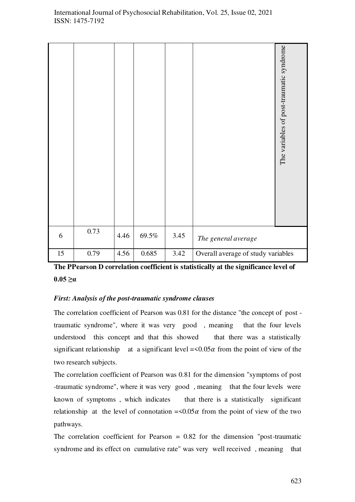|    |      |      |          |      | The variables of post-traumatic syndrome |
|----|------|------|----------|------|------------------------------------------|
| 6  | 0.73 | 4.46 | $69.5\%$ | 3.45 | The general average                      |
| 15 | 0.79 | 4.56 | 0.685    | 3.42 | Overall average of study variables       |

**The PPearson D correlation coefficient is statistically at the significance level of**   $0.05 \geq \alpha$ 

## *First: Analysis of the post-traumatic syndrome clauses*

The correlation coefficient of Pearson was 0.81 for the distance "the concept of post traumatic syndrome", where it was very good , meaning that the four levels understood this concept and that this showed that there was a statistically significant relationship at a significant level  $=\langle 0.05\alpha \rangle$  from the point of view of the two research subjects.

The correlation coefficient of Pearson was 0.81 for the dimension "symptoms of post -traumatic syndrome", where it was very good , meaning that the four levels were known of symptoms, which indicates that there is a statistically significant relationship at the level of connotation  $=\langle 0.05 \alpha \rangle$  from the point of view of the two pathways.

The correlation coefficient for Pearson  $= 0.82$  for the dimension "post-traumatic syndrome and its effect on cumulative rate" was very well received , meaning that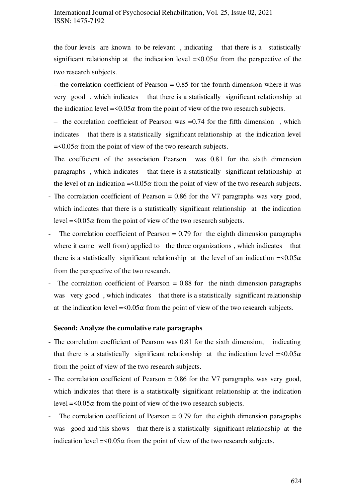## International Journal of Psychosocial Rehabilitation, Vol. 25, Issue 02, 2021 ISSN: 1475-7192

the four levels are known to be relevant , indicating that there is a statistically significant relationship at the indication level  $=\langle 0.05 \alpha \rangle$  from the perspective of the two research subjects.

 $-$  the correlation coefficient of Pearson  $= 0.85$  for the fourth dimension where it was very good , which indicates that there is a statistically significant relationship at the indication level =  $\leq 0.05\alpha$  from the point of view of the two research subjects.

– the correlation coefficient of Pearson was  $=0.74$  for the fifth dimension, which indicates that there is a statistically significant relationship at the indication level  $=$  <0.05 $\alpha$  from the point of view of the two research subjects.

The coefficient of the association Pearson was 0.81 for the sixth dimension paragraphs , which indicates that there is a statistically significant relationship at the level of an indication  $=\langle 0.05\alpha$  from the point of view of the two research subjects.

- The correlation coefficient of Pearson = 0.86 for the V7 paragraphs was very good, which indicates that there is a statistically significant relationship at the indication level =  $0.05\alpha$  from the point of view of the two research subjects.
- The correlation coefficient of Pearson  $= 0.79$  for the eighth dimension paragraphs where it came well from) applied to the three organizations, which indicates that there is a statistically significant relationship at the level of an indication  $=\langle 0.05\alpha$ from the perspective of the two research.
- The correlation coefficient of Pearson = 0.88 for the ninth dimension paragraphs was very good, which indicates that there is a statistically significant relationship at the indication level =  $\leq 0.05\alpha$  from the point of view of the two research subjects.

#### **Second: Analyze the cumulative rate paragraphs**

- The correlation coefficient of Pearson was 0.81 for the sixth dimension, indicating that there is a statistically significant relationship at the indication level  $=\langle 0.05\alpha$ from the point of view of the two research subjects.
- The correlation coefficient of Pearson = 0.86 for the V7 paragraphs was very good, which indicates that there is a statistically significant relationship at the indication level =  $0.05\alpha$  from the point of view of the two research subjects.
- The correlation coefficient of Pearson  $= 0.79$  for the eighth dimension paragraphs was good and this shows that there is a statistically significant relationship at the indication level =  $0.05\alpha$  from the point of view of the two research subjects.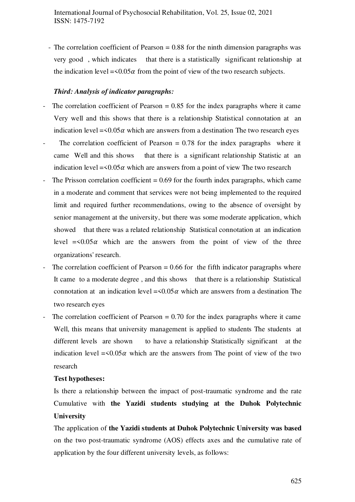- The correlation coefficient of Pearson = 0.88 for the ninth dimension paragraphs was very good , which indicates that there is a statistically significant relationship at the indication level =  $0.05\alpha$  from the point of view of the two research subjects.

#### *Third: Analysis of indicator paragraphs:*

- The correlation coefficient of Pearson  $= 0.85$  for the index paragraphs where it came Very well and this shows that there is a relationship Statistical connotation at an indication level =  $0.05\alpha$  which are answers from a destination The two research eyes
- The correlation coefficient of Pearson = 0.78 for the index paragraphs where it came Well and this shows that there is a significant relationship Statistic at an indication level =  $0.05\alpha$  which are answers from a point of view The two research
- The Prisson correlation coefficient  $= 0.69$  for the fourth index paragraphs, which came in a moderate and comment that services were not being implemented to the required limit and required further recommendations, owing to the absence of oversight by senior management at the university, but there was some moderate application, which showed that there was a related relationship Statistical connotation at an indication level  $\approx 0.05\alpha$  which are the answers from the point of view of the three organizations' research.
- The correlation coefficient of Pearson  $= 0.66$  for the fifth indicator paragraphs where It came to a moderate degree , and this shows that there is a relationship Statistical connotation at an indication level =  $\leq 0.05\alpha$  which are answers from a destination The two research eyes
- The correlation coefficient of Pearson  $= 0.70$  for the index paragraphs where it came Well, this means that university management is applied to students The students at different levels are shown to have a relationship Statistically significant at the indication level  $\approx 0.05\alpha$  which are the answers from The point of view of the two research

#### **Test hypotheses:**

Is there a relationship between the impact of post-traumatic syndrome and the rate Cumulative with **the Yazidi students studying at the Duhok Polytechnic University** 

The application of **the Yazidi students at Duhok Polytechnic University was based** on the two post-traumatic syndrome (AOS) effects axes and the cumulative rate of application by the four different university levels, as follows: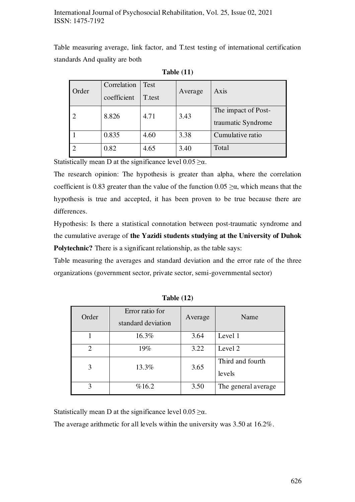Table measuring average, link factor, and T.test testing of international certification standards And quality are both

| Order | Correlation<br>coefficient | Test<br>T.test | Average | Axis                                      |
|-------|----------------------------|----------------|---------|-------------------------------------------|
|       | 8.826                      | 4.71           | 3.43    | The impact of Post-<br>traumatic Syndrome |
|       | 0.835                      | 4.60           | 3.38    | Cumulative ratio                          |
|       | 0.82                       | 4.65           | 3.40    | Total                                     |

**Table (11)** 

Statistically mean D at the significance level  $0.05 \ge \alpha$ .

The research opinion: The hypothesis is greater than alpha, where the correlation coefficient is 0.83 greater than the value of the function  $0.05 \ge \alpha$ , which means that the hypothesis is true and accepted, it has been proven to be true because there are differences.

Hypothesis: Is there a statistical connotation between post-traumatic syndrome and the cumulative average of **the Yazidi students studying at the University of Duhok Polytechnic?** There is a significant relationship, as the table says:

Table measuring the averages and standard deviation and the error rate of the three organizations (government sector, private sector, semi-governmental sector)

| Order          | Error ratio for<br>standard deviation | Average | Name                       |
|----------------|---------------------------------------|---------|----------------------------|
|                | 16.3%                                 | 3.64    | Level 1                    |
| $\overline{2}$ | 19%                                   | 3.22    | Level 2                    |
| 3              | 13.3%                                 | 3.65    | Third and fourth<br>levels |
| 3              | %16.2                                 | 3.50    | The general average.       |

**Table (12)** 

Statistically mean D at the significance level  $0.05 \ge \alpha$ .

The average arithmetic for all levels within the university was 3.50 at 16.2%.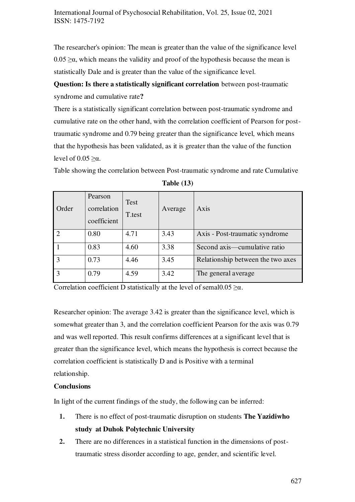The researcher's opinion: The mean is greater than the value of the significance level  $0.05 \ge \alpha$ , which means the validity and proof of the hypothesis because the mean is statistically Dale and is greater than the value of the significance level.

**Question: Is there a statistically significant correlation** between post-traumatic syndrome and cumulative rate**?** 

There is a statistically significant correlation between post-traumatic syndrome and cumulative rate on the other hand, with the correlation coefficient of Pearson for posttraumatic syndrome and 0.79 being greater than the significance level, which means that the hypothesis has been validated, as it is greater than the value of the function level of  $0.05 \geq \alpha$ .

Table showing the correlation between Post-traumatic syndrome and rate Cumulative

| Order         | Pearson<br>correlation<br>coefficient | <b>Test</b><br>T.test | Average | Axis                              |
|---------------|---------------------------------------|-----------------------|---------|-----------------------------------|
| $\mathcal{D}$ | 0.80                                  | 4.71                  | 3.43    | Axis - Post-traumatic syndrome    |
|               | 0.83                                  | 4.60                  | 3.38    | Second axis—cumulative ratio      |
|               | 0.73                                  | 4.46                  | 3.45    | Relationship between the two axes |
|               | 0.79                                  | 4.59                  | 3.42    | The general average               |

**Table (13)** 

Correlation coefficient D statistically at the level of semal $0.05 \ge \alpha$ .

Researcher opinion: The average 3.42 is greater than the significance level, which is somewhat greater than 3, and the correlation coefficient Pearson for the axis was 0.79 and was well reported. This result confirms differences at a significant level that is greater than the significance level, which means the hypothesis is correct because the correlation coefficient is statistically D and is Positive with a terminal relationship.

#### **Conclusions**

In light of the current findings of the study, the following can be inferred:

- **1.** There is no effect of post-traumatic disruption on students **The Yazidiwho study at Duhok Polytechnic University**
- **2.** There are no differences in a statistical function in the dimensions of posttraumatic stress disorder according to age, gender, and scientific level.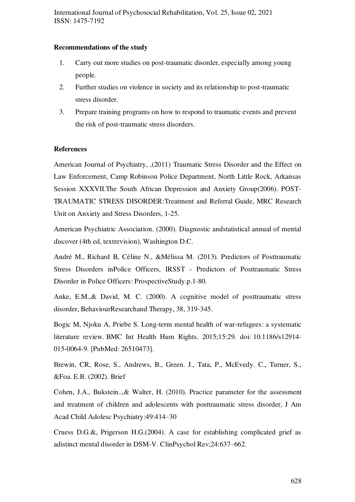#### **Recommendations of the study**

- 1. Carry out more studies on post-traumatic disorder, especially among young people.
- 2. Further studies on violence in society and its relationship to post-traumatic stress disorder.
- 3. Prepare training programs on how to respond to traumatic events and prevent the risk of post-traumatic stress disorders.

## **References**

American Journal of Psychiatry, ,(2011) Traumatic Stress Disorder and the Effect on Law Enforcement, Camp Robinson Police Department, North Little Rock, Arkansas Session XXXVII.The South African Depression and Anxiety Group(2006). POST-TRAUMATIC STRESS DISORDER:Treatment and Referral Guide, MRC Research Unit on Anxiety and Stress Disorders, 1-25.

American Psychiatric Association. (2000). Diagnostic andstatistical annual of mental discover (4th ed, textrevision), Washington D.C.

André M., Richard B, Céline N., &Mélissa M. (2013). Predictors of Posttraumatic Stress Disorders inPolice Officers, IRSST - Predictors of Posttraumatic Stress Disorder in Police Officers: ProspectiveStudy.p.1-80.

Anke, E.M.,& David, M. C. (2000). A cognitive model of posttraumatic stress disorder, BehaviourResearchand Therapy, 38, 319-345.

Bogic M, Njoku A, Priebe S. Long-term mental health of war-refugees: a systematic literature review. BMC Int Health Hum Rights. 2015;15:29. doi: [10.1186/s12914-](https://dx.doi.org/10.1186/s12914-015-0064-9) [015-0064-9.](https://dx.doi.org/10.1186/s12914-015-0064-9) [PubMed: [26510473\]](https://www.ncbi.nlm.nih.gov/pubmed/26510473).

Brewin, CR, Rose, S., Andrews, B., Green. J., Tata, P., McEvedy. C., Turner, S., &Foa. E.B. (2002). Brief

Cohen, J.A., Bukstein..,& Walter, H. (2010). Practice parameter for the assessment and treatment of children and adolescents with posttraumatic stress disorder, J Am Acad Child Adolesc Psychiatry:49:414–30

Cruess D.G.&, Prigerson H.G.(2004). A case for establishing complicated grief as adistinct mental disorder in DSM-V. ClinPsychol Rev;24:637–662.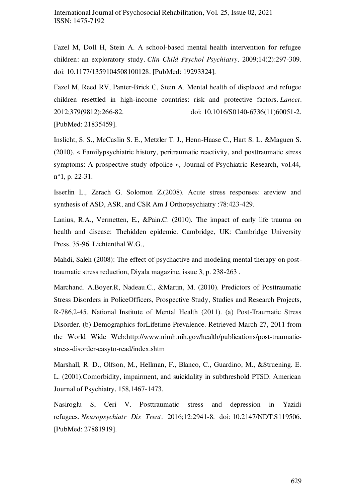Fazel M, Doll H, Stein A. A school-based mental health intervention for refugee children: an exploratory study. *Clin Child Psychol Psychiatry*. 2009;14(2):297-309. doi: [10.1177/1359104508100128.](https://dx.doi.org/10.1177/1359104508100128) [PubMed: [19293324\]](https://www.ncbi.nlm.nih.gov/pubmed/19293324).

Fazel M, Reed RV, Panter-Brick C, Stein A. Mental health of displaced and refugee children resettled in high-income countries: risk and protective factors. *Lancet*. 2012;379(9812):266-82. doi: [10.1016/S0140-6736\(11\)60051-2.](https://dx.doi.org/10.1016/S0140-6736(11)60051-2) [PubMed: [21835459\]](https://www.ncbi.nlm.nih.gov/pubmed/21835459).

Inslicht, S. S., McCaslin S. E., Metzler T. J., Henn-Haase C., Hart S. L. &Maguen S. (2010). « Familypsychiatric history, peritraumatic reactivity, and posttraumatic stress symptoms: A prospective study ofpolice », Journal of Psychiatric Research, vol.44, n°1, p. 22-31.

Isserlin L., Zerach G. Solomon Z.(2008). Acute stress responses: areview and synthesis of ASD, ASR, and CSR Am J Orthopsychiatry :78:423-429.

Lanius, R.A., Vermetten, E., &Pain.C. (2010). The impact of early life trauma on health and disease: Thehidden epidemic. Cambridge, UK: Cambridge University Press, 35-96. Lichtenthal W.G.,

Mahdi, Saleh (2008): The effect of psychactive and modeling mental therapy on posttraumatic stress reduction, Diyala magazine, issue 3, p. 238-263 .

Marchand. A.Boyer.R, Nadeau.C., &Martin, M. (2010). Predictors of Posttraumatic Stress Disorders in PoliceOfficers, Prospective Study, Studies and Research Projects, R-786,2-45. National Institute of Mental Health (2011). (a) Post-Traumatic Stress Disorder. (b) Demographics forLifetime Prevalence. Retrieved March 27, 2011 from the World Wide Web[:http://www.nimh.nih.gov/health/publications/post-traumatic](http://www.nimh.nih.gov/health/publications/post-traumatic-stress-disorder-easyto-read/index.shtm)[stress-disorder-easyto-read/index.shtm](http://www.nimh.nih.gov/health/publications/post-traumatic-stress-disorder-easyto-read/index.shtm) 

Marshall, R. D., Olfson, M., Hellman, F., Blanco, C., Guardino, M., &Struening. E. L. (2001).Comorbidity, impairment, and suicidality in subthreshold PTSD. American Journal of Psychiatry, 158,1467-1473.

Nasiroglu S, Ceri V. Posttraumatic stress and depression in Yazidi refugees. *Neuropsychiatr Dis Treat*. 2016;12:2941-8. doi[: 10.2147/NDT.S119506.](https://dx.doi.org/10.2147/NDT.S119506) [PubMed: [27881919\]](https://www.ncbi.nlm.nih.gov/pubmed/27881919).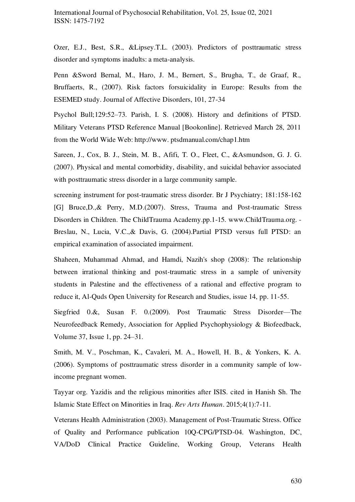Ozer, E.J., Best, S.R., &Lipsey.T.L. (2003). Predictors of posttraumatic stress disorder and symptoms inadults: a meta-analysis.

Penn &Sword Bernal, M., Haro, J. M., Bernert, S., Brugha, T., de Graaf, R., Bruffaerts, R., (2007). Risk factors forsuicidality in Europe: Results from the ESEMED study. Journal of Affective Disorders, 101, 27-34

Psychol Bull;129:52–73. Parish, I. S. (2008). History and definitions of PTSD. Military Veterans PTSD Reference Manual [Bookonline]. Retrieved March 28, 2011 from the World Wide Web: http://www. ptsdmanual.com/chap1.htm

Sareen, J., Cox, B. J., Stein, M. B., Afifi, T. O., Fleet, C., &Asmundson, G. J. G. (2007). Physical and mental comorbidity, disability, and suicidal behavior associated with posttraumatic stress disorder in a large community sample.

screening instrument for post-traumatic stress disorder. Br J Psychiatry; 181:158-162 [G] Bruce,D.,& Perry, M.D.(2007). Stress, Trauma and Post-traumatic Stress Disorders in Children. The ChildTrauma Academy.pp.1-15. www.ChildTrauma.org. - Breslau, N., Lucia, V.C.,& Davis, G. (2004).Partial PTSD versus full PTSD: an empirical examination of associated impairment.

Shaheen, Muhammad Ahmad, and Hamdi, Nazih's shop (2008): The relationship between irrational thinking and post-traumatic stress in a sample of university students in Palestine and the effectiveness of a rational and effective program to reduce it, Al-Quds Open University for Research and Studies, issue 14, pp. 11-55.

Siegfried 0.&, Susan F. 0.(2009). Post Traumatic Stress Disorder—The Neurofeedback Remedy, Association for Applied Psychophysiology & Biofeedback, Volume 37, Issue 1, pp. 24–31.

Smith, M. V., Poschman, K., Cavaleri, M. A., Howell, H. B., & Yonkers, K. A. (2006). Symptoms of posttraumatic stress disorder in a community sample of lowincome pregnant women.

Tayyar org. Yazidis and the religious minorities after ISIS. cited in Hanish Sh. The Islamic State Effect on Minorities in Iraq. *Rev Arts Human*. 2015;4(1):7-11.

Veterans Health Administration (2003). Management of Post-Traumatic Stress. Office of Quality and Performance publication 10Q-CPG/PTSD-04. Washington, DC, VA/DoD Clinical Practice Guideline, Working Group, Veterans Health